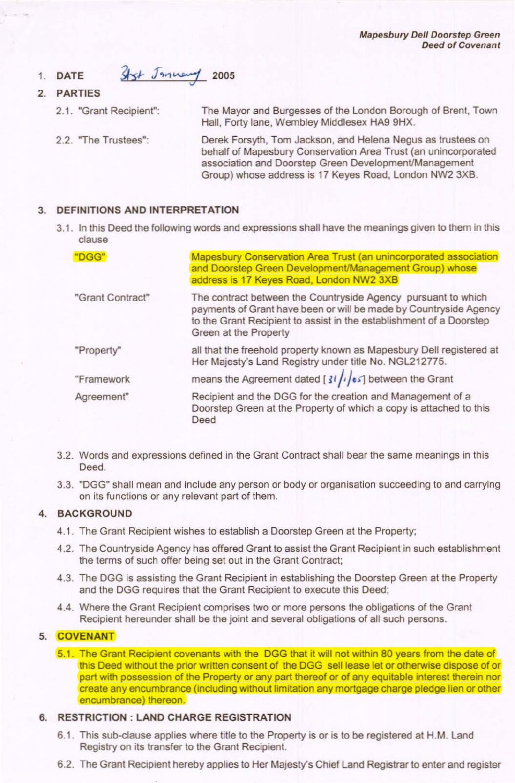Mapesbury Dell Doorstep Green Deed of Covenant

#### Styt January 2005 1. DATE

- 2. PARTIES
	- 2.1. "Grant Recipient":
	- 2.2. "The Trustees":

The Mayor and Burgesses of the London Borough of Brent, Town Hall, Forty lane, Wembley Middlesex HA9 9HX.

Derek Forsyth, Tom Jackson, and Helena Negus as trustees on behalf of Mapesbury Conservation Area Trust (an unincorporated association and Doorstep Green DevelopmenVManagement Group) whose address is 17 Keyes Road, London NW2 3XB.

### 3. DEFINITIONS AND INTERPRETATION

3.1. In this Deed the following words and expressions shall have the meanings given to them in this clause

| "DGG"            | <b>Mapesbury Conservation Area Trust (an unincorporated association)</b><br>and Doorstep Green Development/Management Group) whose<br>address is 17 Keyes Road, London NW2 3XB                                                     |
|------------------|------------------------------------------------------------------------------------------------------------------------------------------------------------------------------------------------------------------------------------|
| "Grant Contract" | The contract between the Countryside Agency pursuant to which<br>payments of Grant have been or will be made by Countryside Agency<br>to the Grant Recipient to assist in the establishment of a Doorstep<br>Green at the Property |
| "Property"       | all that the freehold property known as Mapesbury Dell registered at<br>Her Majesty's Land Registry under title No. NGL212775.                                                                                                     |
| "Framework       | means the Agreement dated [ $31/\sqrt{es}$ ] between the Grant                                                                                                                                                                     |
| Agreement"       | Recipient and the DGG for the creation and Management of a<br>Doorstep Green at the Property of which a copy is attached to this<br>Deed                                                                                           |

- 3.2. Words and expressions defined in the Grant Contract shall bear the same meanings in this Deed.
- 3.3. "DGG" shall mean and include any person or body or organisation succeeding to and carrying on its functions or any relevant part of them.

## 4. BACKGROUND

- 4.1. The Grant Recipient wishes to establish a Doorstep Green at the Property;
- 4.2. The Countryside Agency has offered Grant to assist the Grant Recipient in such establishment the terms of such offer being set out in the Grant Contract;
- 4.3. The DGG is assisting the Grant Recipient in establishing the Doorstep Green at the Property and the DGG requires that the Grant Recipient to execute this Deed;
- 4.4. Where the Grant Recipient comprises two or more persons the obligations of the Grant Recipient hereunder shall be the joint and several obligations of all such persons.

### 5. COVENANT

5.1. The Grant Recipient covenants with the DGG that it will not within 80 years from the date of this Deed without the prior written consent of the DGG sell lease let or otherwise dispose of or part with possession of the Property or any part thereof or of any equitable interest therein nor create any encumbrance (including without limitation any mortgage charge pledge lien or other encumbrance) thereon.

# 6. RESTRICTION: LAND CHARGE REGISTRATION

- 6.1. This sub-clause applies where title to the Property is or is to be registered at H.M. Land Registry on its transfer to the Grant Recipient.
- 6.2. The Grant Recipient hereby applies to Her Majesty's Chief Land Registrar to enter and register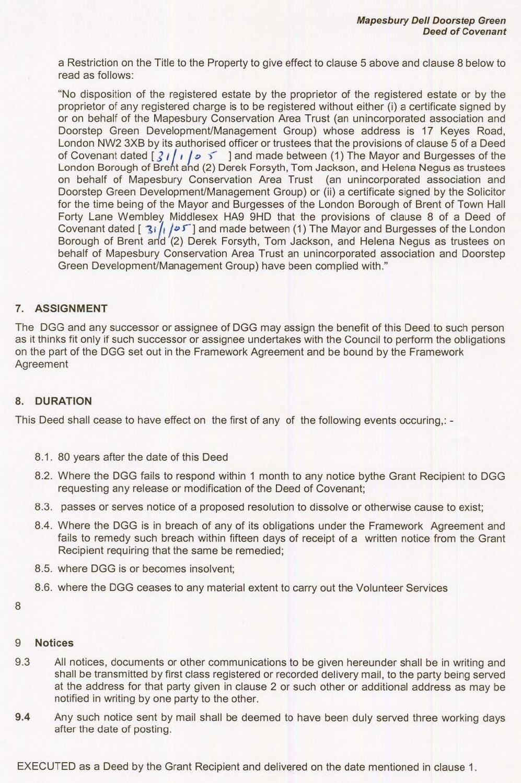a Restriction on the Tille to the Property to give effect to clause 5 above and clause 8 below to read as follows:

"No disposition of the registered estate by the proprietor of the registered estate or by the proprietor of any registered charge is to be registered without either (i) a certificate signed by or on behalf of the Mapesbury Conservation Area Trust (an unincorporated association and Doorstep Green Development/Management Group) whose address is 17 Keyes Road, London NW2 3XB by its authorised officer or trustees that the provisions of clause 5 of a Deed of Covenant dated  $\left[\frac{3}{1}, \frac{1}{10}\right]$  of light and made between (1) The Mayor and Burgesses of the London Borough of Breht ahd (2) Derek Forsyth, Tom Jackson, and Helena Negus as trustees on behalf of Mapesbury Conservation Area Trust (an unincorporated association and Doorstep Green DevelopmenVManagement Group) or (ii) a certificate signed by the Solicitor for the time being of the Mayor and Burgesses of the London Borough of Brent of Town Hall Forty Lane Wembley. Middlesex HA9 9HD that the provisions of clause 8 of a Deed of Covenant dated  $\lceil 3i / \sqrt{2^{5}} \rceil$  and made between (1) The Mayor and Burgesses of the London Borough of Brent arid (2) Derek Forsyth, Tom Jackson, and Helena Negus as trustees on behalf of Mapesbury Conservation Area Trust an unincorporated association and Doorstep Green DevelopmenVManagement Group) have been complied with."

### 7. ASSIGNMENT

The DGG and any successor or assignee of DGG may assign the benefit of this Deed to such person as it thinks fit only if such successor or assignee undertakes with the Council to perform the obligations on the part of the DGG set out in the Framework Agreement and be bound by the Framework **Agreement** 

### 8. DURATION

This Deed shall cease to have effect on the first of any of the following events occuring,: -

- 8.1. 80 years after the date of this Deed
- 8.2. Where the DGG fails to respond within 1 month to any notice bythe Grant Recipient to DGG requesting any release or modification of the Deed of Covenant;
- 8.3. passes or serves notice of a proposed resolution to dissolve or otherwise cause to exist;
- 8.4. Where the DGG is in breach of any of its obligations under the Framework Agreement and fails to remedy such breach within fifteen days of receipt of a written notice from the Grant Recipient requiring that the same be remedied;
- 8.5. where DGG is or becomes insolvent;
- 8.6. where the DGG ceases to any material extent to carry out the Volunteer Services

8

### 9 Notices

- 9.3 All notices, documents or other communications to be given hereunder shall be in writing and shall be transmitted by first class registered or recorded delivery mail, to the party being served at the address for that party given in clause 2 or such other or additional address as may be notified in writing by one party to the other.
- 9.4 Any such notice sent by mail shall be deemed to have been duly served three working days after the date of posting.

EXECUTED as a Deed by the Grant Recipient and delivered on the date mentioned in clause 1.